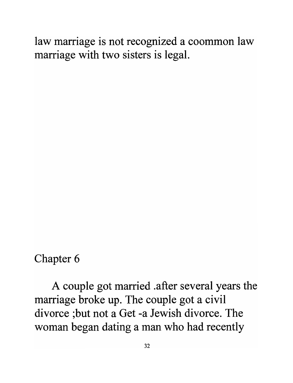law marriage is not recognized a coommon law marriage with two sisters is legal.

Chapter 6

A couple got married .after several years the marriage broke up. The couple got a civil divorce ;but not a Get -a Jewish divorce. The woman began dating a man who had recently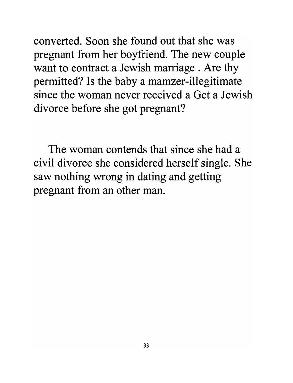converted. Soon she found out that she was pregnant from her boyfriend. The new couple want to contract a Jewish marriage . Are thy permitted? Is the baby a mamzer-illegitimate since the woman never received a Get a Jewish divorce before she got pregnant?

The woman contends that since she had a civil divorce she considered herself single. She saw nothing wrong in dating and getting pregnant from an other man.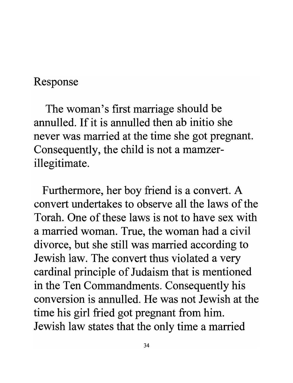## Response

The woman's first marriage should be annulled. If it is annulled then ab initio she never was married at the time she got pregnant. Consequently, the child is not a mamzerillegitimate.

Furthermore, her boy friend is a convert. A convert undertakes to observe all the laws of the Torah. One of these laws is not to have sex with a married woman. True, the woman had a civil divorce, but she still was married according to Jewish law. The convert thus violated a very cardinal principle of Judaism that is mentioned in the Ten Commandments. Consequently his conversion is annulled. He was not Jewish at the time his girl fried got pregnant from him. Jewish law states that the only time a married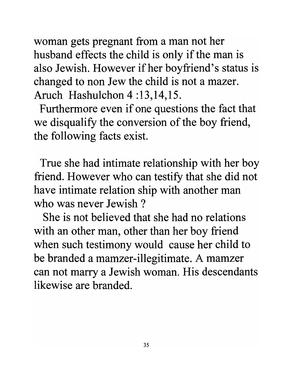woman gets pregnant from a man not her husband effects the child is only if the man is also Jewish. However if her boyfriend's status is changed to non Jew the child is not a mazer. Aruch Hashulchon 4 :13,14,15.

Furthermore even if one questions the fact that we disqualify the conversion of the boy friend, the following facts exist.

True she had intimate relationship with her boy friend. However who can testify that she did not have intimate relation ship with another man who was never Jewish ?

She is not believed that she had no relations with an other man, other than her boy friend when such testimony would cause her child to be branded a mamzer-illegitimate. A mamzer can not marry a Jewish woman. His descendants likewise are branded.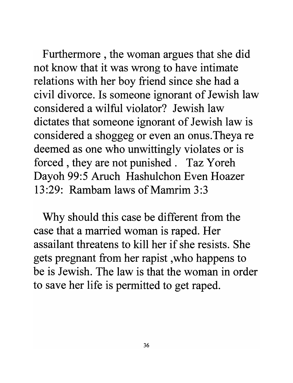Furthermore , the woman argues that she did not know that it was wrong to have intimate relations with her boy friend since she had a civil divorce. Is someone ignorant of Jewish law considered a wilful violator? Jewish law dictates that someone ignorant of Jewish law is considered a shoggeg or even an onus. Theya re deemed as one who unwittingly violates or is forced, they are not punished. Taz Yoreh Dayoh 99:5 Aruch Hashulchon Even Hoazer 13:29: Rambam laws of Mamrim 3:3

Why should this case be different from the case that a married woman is raped. Her assailant threatens to kill her if she resists. She gets pregnant from her rapist, who happens to be is Jewish. The law is that the woman in order to save her life is permitted to get raped.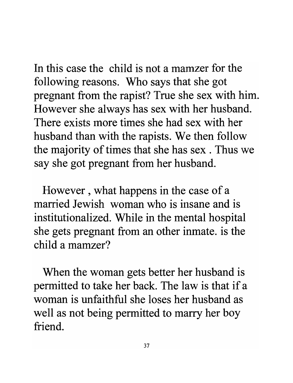In this case the child is not a mamzer for the following reasons. Who says that she got pregnant from the rapist? True she sex with him. However she always has sex with her husband. There exists more times she had sex with her husband than with the rapists. We then follow the majority of times that she has sex. Thus we say she got pregnant from her husband.

However , what happens in the case of a married Jewish woman who is insane and is institutionalized. While in the mental hospital she gets pregnant from an other inmate. is the child a mamzer?

When the woman gets better her husband is permitted to take her back. The law is that if a woman is unfaithful she loses her husband as well as not being permitted to marry her boy friend.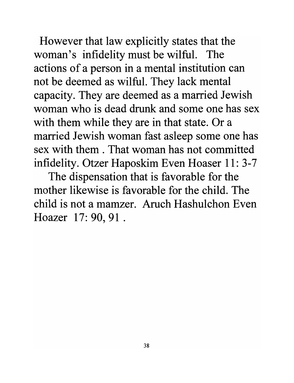However that law explicitly states that the woman's infidelity must be wilful. The actions of a person in a mental institution can not be deemed as wilful. They lack mental capacity. They are deemed as a married Jewish woman who is dead drunk and some one has sex with them while they are in that state. Or a married Jewish woman fast asleep some one has sex with them . That woman has not committed infidelity. Otzer Haposkim Even Hoaser 11: 3-7

The dispensation that is favorable for the mother likewise is favorable for the child. The child is not a mamzer. Aruch Hashulchon Even Hoazer 17: 90, 91.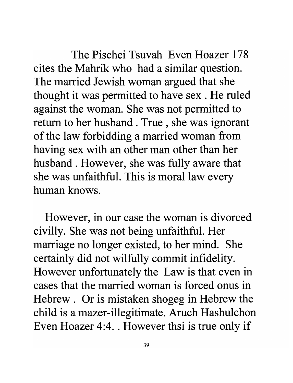The Pischei Tsuvah Even Hoazer 178 cites the Mahrik who had a similar question. The married Jewish woman argued that she thought it was permitted to have sex . He ruled against the woman. She was not permitted to return to her husband. True, she was ignorant of the law forbidding a married woman from having sex with an other man other than her husband. However, she was fully aware that she was unfaithful. This is moral law every human knows.

However, in our case the woman is divorced civilly. She was not being unfaithful. Her marriage no longer existed, to her mind. She certainly did not wilfully commit infidelity. However unfortunately the Law is that even in cases that the married woman is forced onus in Hebrew. Or is mistaken shogeg in Hebrew the child is a mazer-illegitimate. Aruch Hashulchon Even Hoazer 4:4 .. However thsi is true only if